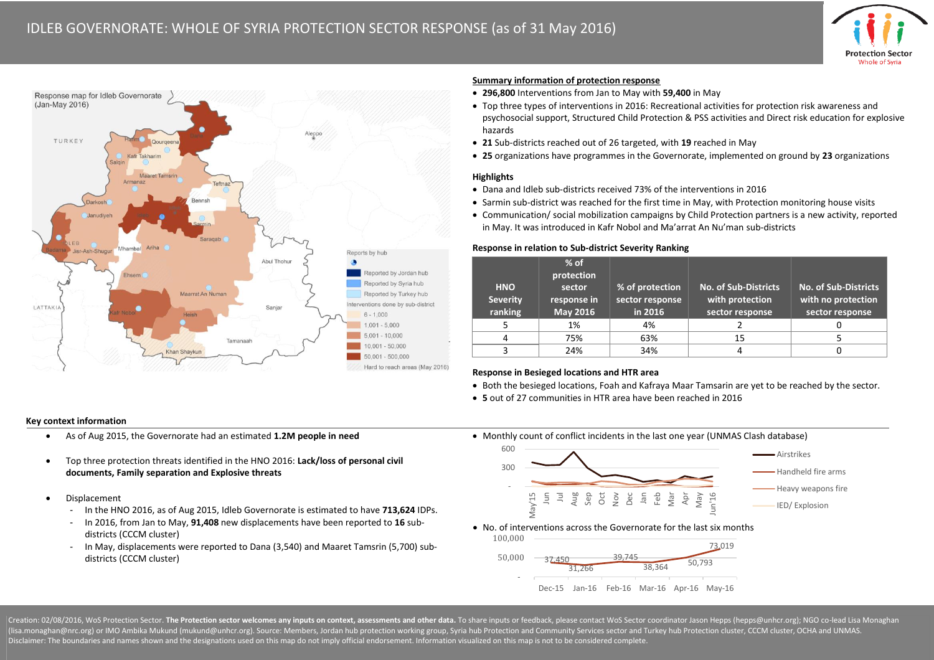



# **Summary information of protection response**

- **296,800** Interventions from Jan to May with **59,400** in May
- Top three types of interventions in 2016: Recreational activities for protection risk awareness and psychosocial support, Structured Child Protection & PSS activities and Direct risk education for explosive hazards
- **21** Sub-districts reached out of 26 targeted, with **19** reached in May
- **25** organizations have programmes in the Governorate, implemented on ground by **23** organizations

### **Highlights**

- Dana and Idleb sub-districts received 73% of the interventions in 2016
- Sarmin sub-district was reached for the first time in May, with Protection monitoring house visits
- Communication/ social mobilization campaigns by Child Protection partners is a new activity, reported in May. It was introduced in Kafr Nobol and Ma'arrat An Nu'man sub-districts

#### **Response in relation to Sub-district Severity Ranking**

| <b>HNO</b><br><b>Severity</b><br>ranking | $%$ of<br>protection<br>sector<br>response in<br>May 2016 | % of protection<br>sector response<br>in 2016 | <b>No. of Sub-Districts</b><br>with protection<br>sector response | <b>No. of Sub-Districts</b><br>with no protection<br>sector response |
|------------------------------------------|-----------------------------------------------------------|-----------------------------------------------|-------------------------------------------------------------------|----------------------------------------------------------------------|
|                                          |                                                           |                                               |                                                                   |                                                                      |
|                                          | 1%                                                        | 4%                                            |                                                                   |                                                                      |
| 4                                        | 75%                                                       | 63%                                           | 15                                                                |                                                                      |

## **Response in Besieged locations and HTR area**

- Both the besieged locations, Foah and Kafraya Maar Tamsarin are yet to be reached by the sector.
- **5** out of 27 communities in HTR area have been reached in 2016

### **Key context information**

- As of Aug 2015, the Governorate had an estimated **1.2M people in need**
- Top three protection threats identified in the HNO 2016: **Lack/loss of personal civil documents, Family separation and Explosive threats**
- Displacement
	- In the HNO 2016, as of Aug 2015, Idleb Governorate is estimated to have **713,624** IDPs.
	- In 2016, from Jan to May, **91,408** new displacements have been reported to **16** subdistricts (CCCM cluster)
	- In May, displacements were reported to Dana (3,540) and Maaret Tamsrin (5,700) subdistricts (CCCM cluster)

Monthly count of conflict incidents in the last one year (UNMAS Clash database)



• No. of interventions across the Governorate for the last six months



Creation: 02/08/2016, WoS Protection Sector. The Protection sector welcomes any inputs on context, assessments and other data. To share inputs or feedback, please contact WoS Sector coordinator Jason Hepps (hepps@unhcr.org (lisa.monaghan@nrc.org) or IMO Ambika Mukund (mukund@unhcr.org). Source: Members, Jordan hub protection working group, Syria hub Protection and Community Services sector and Turkey hub Protection cluster, CCCM cluster, OCH Disclaimer: The boundaries and names shown and the designations used on this map do not imply official endorsement. Information visualized on this map is not to be considered complete.